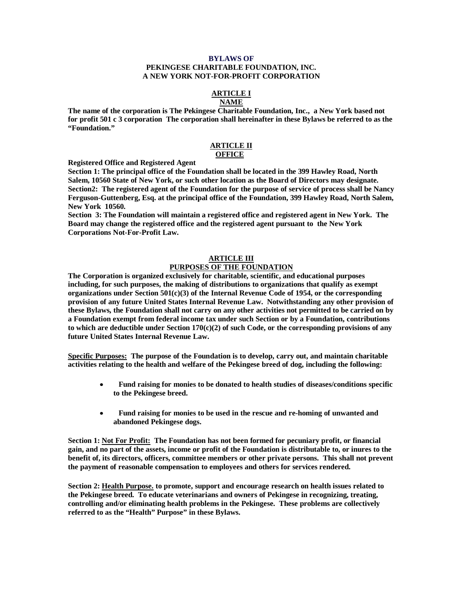### **BYLAWS OF**

#### **PEKINGESE CHARITABLE FOUNDATION, INC. A NEW YORK NOT-FOR-PROFIT CORPORATION**

#### **ARTICLE I NAME**

**The name of the corporation is The Pekingese Charitable Foundation, Inc., a New York based not for profit 501 c 3 corporation The corporation shall hereinafter in these Bylaws be referred to as the "Foundation."** 

#### **ARTICLE II OFFICE**

**Registered Office and Registered Agent** 

**Section 1: The principal office of the Foundation shall be located in the 399 Hawley Road, North Salem, 10560 State of New York, or such other location as the Board of Directors may designate. Section2: The registered agent of the Foundation for the purpose of service of process shall be Nancy Ferguson-Guttenberg, Esq. at the principal office of the Foundation, 399 Hawley Road, North Salem, New York 10560.** 

**Section 3: The Foundation will maintain a registered office and registered agent in New York. The Board may change the registered office and the registered agent pursuant to the New York Corporations Not-For-Profit Law.**

### **ARTICLE III PURPOSES OF THE FOUNDATION**

**The Corporation is organized exclusively for charitable, scientific, and educational purposes including, for such purposes, the making of distributions to organizations that qualify as exempt organizations under Section 501(c)(3) of the Internal Revenue Code of 1954, or the corresponding provision of any future United States Internal Revenue Law. Notwithstanding any other provision of these Bylaws, the Foundation shall not carry on any other activities not permitted to be carried on by a Foundation exempt from federal income tax under such Section or by a Foundation, contributions to which are deductible under Section 170(c)(2) of such Code, or the corresponding provisions of any future United States Internal Revenue Law.** 

**Specific Purposes: The purpose of the Foundation is to develop, carry out, and maintain charitable activities relating to the health and welfare of the Pekingese breed of dog, including the following:** 

- • **Fund raising for monies to be donated to health studies of diseases/conditions specific to the Pekingese breed.**
- • **Fund raising for monies to be used in the rescue and re-homing of unwanted and abandoned Pekingese dogs.**

**Section 1: Not For Profit: The Foundation has not been formed for pecuniary profit, or financial gain, and no part of the assets, income or profit of the Foundation is distributable to, or inures to the benefit of, its directors, officers, committee members or other private persons. This shall not prevent the payment of reasonable compensation to employees and others for services rendered.**

**Section 2: Health Purpose. to promote, support and encourage research on health issues related to the Pekingese breed. To educate veterinarians and owners of Pekingese in recognizing, treating, controlling and/or eliminating health problems in the Pekingese. These problems are collectively referred to as the "Health" Purpose" in these Bylaws.**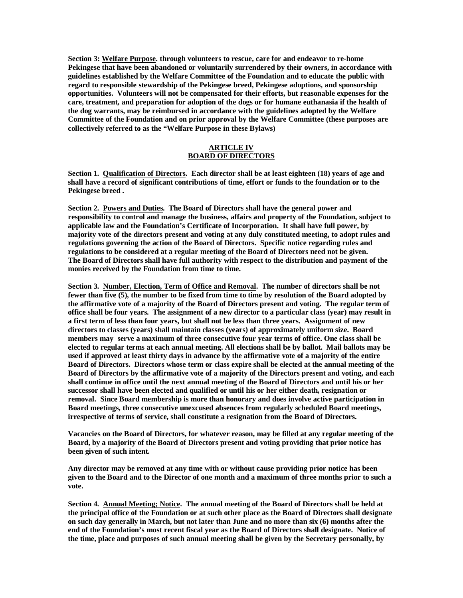**Section 3: Welfare Purpose. through volunteers to rescue, care for and endeavor to re-home Pekingese that have been abandoned or voluntarily surrendered by their owners, in accordance with guidelines established by the Welfare Committee of the Foundation and to educate the public with regard to responsible stewardship of the Pekingese breed, Pekingese adoptions, and sponsorship opportunities. Volunteers will not be compensated for their efforts, but reasonable expenses for the care, treatment, and preparation for adoption of the dogs or for humane euthanasia if the health of the dog warrants, may be reimbursed in accordance with the guidelines adopted by the Welfare Committee of the Foundation and on prior approval by the Welfare Committee (these purposes are collectively referred to as the "Welfare Purpose in these Bylaws)** 

# **ARTICLE IV BOARD OF DIRECTORS**

**Section 1. Qualification of Directors. Each director shall be at least eighteen (18) years of age and shall have a record of significant contributions of time, effort or funds to the foundation or to the Pekingese breed .** 

**Section 2. Powers and Duties. The Board of Directors shall have the general power and responsibility to control and manage the business, affairs and property of the Foundation, subject to applicable law and the Foundation's Certificate of Incorporation. It shall have full power, by majority vote of the directors present and voting at any duly constituted meeting, to adopt rules and regulations governing the action of the Board of Directors. Specific notice regarding rules and regulations to be considered at a regular meeting of the Board of Directors need not be given. The Board of Directors shall have full authority with respect to the distribution and payment of the monies received by the Foundation from time to time.** 

**Section 3. Number, Election, Term of Office and Removal. The number of directors shall be not fewer than five (5), the number to be fixed from time to time by resolution of the Board adopted by the affirmative vote of a majority of the Board of Directors present and voting. The regular term of office shall be four years. The assignment of a new director to a particular class (year) may result in a first term of less than four years, but shall not be less than three years. Assignment of new directors to classes (years) shall maintain classes (years) of approximately uniform size. Board members may serve a maximum of three consecutive four year terms of office. One class shall be elected to regular terms at each annual meeting. All elections shall be by ballot. Mail ballots may be used if approved at least thirty days in advance by the affirmative vote of a majority of the entire Board of Directors. Directors whose term or class expire shall be elected at the annual meeting of the Board of Directors by the affirmative vote of a majority of the Directors present and voting, and each shall continue in office until the next annual meeting of the Board of Directors and until his or her successor shall have been elected and qualified or until his or her either death, resignation or removal. Since Board membership is more than honorary and does involve active participation in Board meetings, three consecutive unexcused absences from regularly scheduled Board meetings, irrespective of terms of service, shall constitute a resignation from the Board of Directors.** 

**Vacancies on the Board of Directors, for whatever reason, may be filled at any regular meeting of the Board, by a majority of the Board of Directors present and voting providing that prior notice has been given of such intent.** 

**Any director may be removed at any time with or without cause providing prior notice has been given to the Board and to the Director of one month and a maximum of three months prior to such a vote.** 

**Section 4. Annual Meeting; Notice. The annual meeting of the Board of Directors shall be held at the principal office of the Foundation or at such other place as the Board of Directors shall designate on such day generally in March, but not later than June and no more than six (6) months after the end of the Foundation's most recent fiscal year as the Board of Directors shall designate. Notice of the time, place and purposes of such annual meeting shall be given by the Secretary personally, by**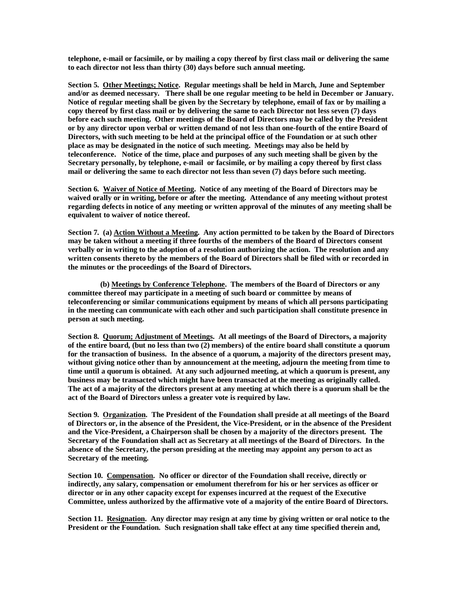**telephone, e-mail or facsimile, or by mailing a copy thereof by first class mail or delivering the same to each director not less than thirty (30) days before such annual meeting.** 

**Section 5. Other Meetings; Notice. Regular meetings shall be held in March, June and September and/or as deemed necessary. There shall be one regular meeting to be held in December or January. Notice of regular meeting shall be given by the Secretary by telephone, email of fax or by mailing a copy thereof by first class mail or by delivering the same to each Director not less seven (7) days before each such meeting. Other meetings of the Board of Directors may be called by the President or by any director upon verbal or written demand of not less than one-fourth of the entire Board of Directors, with such meeting to be held at the principal office of the Foundation or at such other place as may be designated in the notice of such meeting. Meetings may also be held by teleconference. Notice of the time, place and purposes of any such meeting shall be given by the Secretary personally, by telephone, e-mail or facsimile, or by mailing a copy thereof by first class mail or delivering the same to each director not less than seven (7) days before such meeting.** 

**Section 6. Waiver of Notice of Meeting. Notice of any meeting of the Board of Directors may be waived orally or in writing, before or after the meeting. Attendance of any meeting without protest regarding defects in notice of any meeting or written approval of the minutes of any meeting shall be equivalent to waiver of notice thereof.** 

**Section 7. (a) Action Without a Meeting. Any action permitted to be taken by the Board of Directors may be taken without a meeting if three fourths of the members of the Board of Directors consent verbally or in writing to the adoption of a resolution authorizing the action. The resolution and any written consents thereto by the members of the Board of Directors shall be filed with or recorded in the minutes or the proceedings of the Board of Directors.** 

 **(b) Meetings by Conference Telephone. The members of the Board of Directors or any committee thereof may participate in a meeting of such board or committee by means of teleconferencing or similar communications equipment by means of which all persons participating in the meeting can communicate with each other and such participation shall constitute presence in person at such meeting.** 

**Section 8. Quorum; Adjustment of Meetings. At all meetings of the Board of Directors, a majority of the entire board, (but no less than two (2) members) of the entire board shall constitute a quorum for the transaction of business. In the absence of a quorum, a majority of the directors present may, without giving notice other than by announcement at the meeting, adjourn the meeting from time to time until a quorum is obtained. At any such adjourned meeting, at which a quorum is present, any business may be transacted which might have been transacted at the meeting as originally called. The act of a majority of the directors present at any meeting at which there is a quorum shall be the act of the Board of Directors unless a greater vote is required by law.** 

**Section 9. Organization. The President of the Foundation shall preside at all meetings of the Board of Directors or, in the absence of the President, the Vice-President, or in the absence of the President and the Vice-President, a Chairperson shall be chosen by a majority of the directors present. The Secretary of the Foundation shall act as Secretary at all meetings of the Board of Directors. In the absence of the Secretary, the person presiding at the meeting may appoint any person to act as Secretary of the meeting.** 

**Section 10. Compensation. No officer or director of the Foundation shall receive, directly or indirectly, any salary, compensation or emolument therefrom for his or her services as officer or director or in any other capacity except for expenses incurred at the request of the Executive Committee, unless authorized by the affirmative vote of a majority of the entire Board of Directors.** 

**Section 11. Resignation. Any director may resign at any time by giving written or oral notice to the**  President or the Foundation. Such resignation shall take effect at any time specified therein and,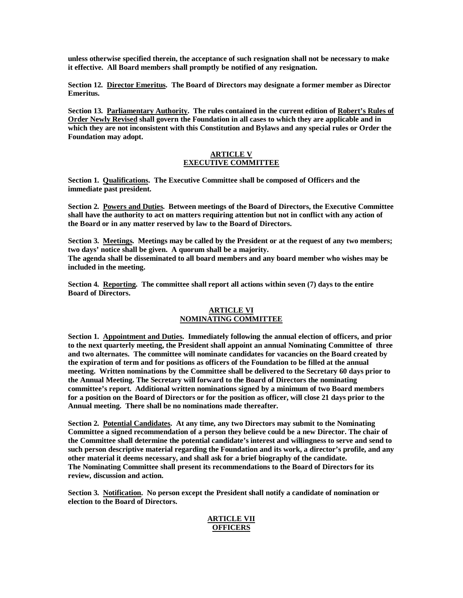**unless otherwise specified therein, the acceptance of such resignation shall not be necessary to make it effective. All Board members shall promptly be notified of any resignation.** 

**Section 12. Director Emeritus. The Board of Directors may designate a former member as Director Emeritus.** 

**Section 13. Parliamentary Authority. The rules contained in the current edition of Robert's Rules of Order Newly Revised shall govern the Foundation in all cases to which they are applicable and in which they are not inconsistent with this Constitution and Bylaws and any special rules or Order the Foundation may adopt.** 

### **ARTICLE V EXECUTIVE COMMITTEE**

**Section 1. Qualifications. The Executive Committee shall be composed of Officers and the immediate past president.** 

**Section 2. Powers and Duties. Between meetings of the Board of Directors, the Executive Committee shall have the authority to act on matters requiring attention but not in conflict with any action of the Board or in any matter reserved by law to the Board of Directors.** 

**Section 3. Meetings. Meetings may be called by the President or at the request of any two members; two days' notice shall be given. A quorum shall be a majority. The agenda shall be disseminated to all board members and any board member who wishes may be included in the meeting.** 

**Section 4. Reporting. The committee shall report all actions within seven (7) days to the entire Board of Directors.** 

## **ARTICLE VI NOMINATING COMMITTEE**

**Section 1. Appointment and Duties. Immediately following the annual election of officers, and prior to the next quarterly meeting, the President shall appoint an annual Nominating Committee of three and two alternates. The committee will nominate candidates for vacancies on the Board created by the expiration of term and for positions as officers of the Foundation to be filled at the annual meeting. Written nominations by the Committee shall be delivered to the Secretary 60 days prior to the Annual Meeting. The Secretary will forward to the Board of Directors the nominating committee's report. Additional written nominations signed by a minimum of two Board members for a position on the Board of Directors or for the position as officer, will close 21 days prior to the Annual meeting. There shall be no nominations made thereafter.** 

**Section 2. Potential Candidates. At any time, any two Directors may submit to the Nominating Committee a signed recommendation of a person they believe could be a new Director. The chair of the Committee shall determine the potential candidate's interest and willingness to serve and send to such person descriptive material regarding the Foundation and its work, a director's profile, and any other material it deems necessary, and shall ask for a brief biography of the candidate. The Nominating Committee shall present its recommendations to the Board of Directors for its review, discussion and action.** 

**Section 3. Notification. No person except the President shall notify a candidate of nomination or election to the Board of Directors.** 

## **ARTICLE VII OFFICERS**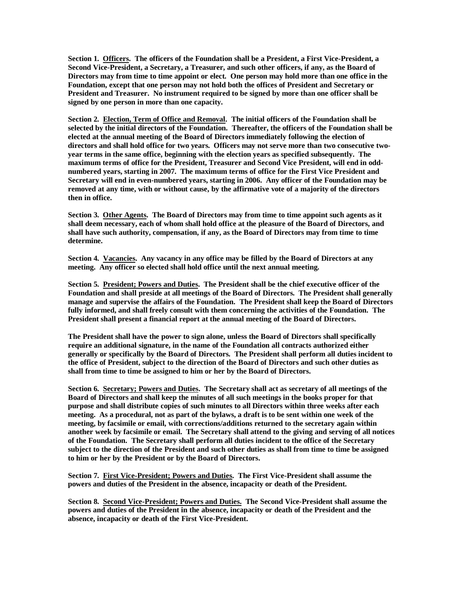**Section 1. Officers. The officers of the Foundation shall be a President, a First Vice-President, a Second Vice-President, a Secretary, a Treasurer, and such other officers, if any, as the Board of Directors may from time to time appoint or elect. One person may hold more than one office in the Foundation, except that one person may not hold both the offices of President and Secretary or President and Treasurer. No instrument required to be signed by more than one officer shall be signed by one person in more than one capacity.** 

**Section 2. Election, Term of Office and Removal. The initial officers of the Foundation shall be selected by the initial directors of the Foundation. Thereafter, the officers of the Foundation shall be elected at the annual meeting of the Board of Directors immediately following the election of directors and shall hold office for two years. Officers may not serve more than two consecutive twoyear terms in the same office, beginning with the election years as specified subsequently. The maximum terms of office for the President, Treasurer and Second Vice President, will end in oddnumbered years, starting in 2007. The maximum terms of office for the First Vice President and Secretary will end in even-numbered years, starting in 2006. Any officer of the Foundation may be removed at any time, with or without cause, by the affirmative vote of a majority of the directors then in office.** 

**Section 3. Other Agents. The Board of Directors may from time to time appoint such agents as it shall deem necessary, each of whom shall hold office at the pleasure of the Board of Directors, and shall have such authority, compensation, if any, as the Board of Directors may from time to time determine.** 

**Section 4. Vacancies. Any vacancy in any office may be filled by the Board of Directors at any meeting. Any officer so elected shall hold office until the next annual meeting.** 

**Section 5. President; Powers and Duties. The President shall be the chief executive officer of the Foundation and shall preside at all meetings of the Board of Directors. The President shall generally manage and supervise the affairs of the Foundation. The President shall keep the Board of Directors fully informed, and shall freely consult with them concerning the activities of the Foundation. The President shall present a financial report at the annual meeting of the Board of Directors.** 

**The President shall have the power to sign alone, unless the Board of Directors shall specifically require an additional signature, in the name of the Foundation all contracts authorized either generally or specifically by the Board of Directors. The President shall perform all duties incident to the office of President, subject to the direction of the Board of Directors and such other duties as shall from time to time be assigned to him or her by the Board of Directors.** 

**Section 6. Secretary; Powers and Duties. The Secretary shall act as secretary of all meetings of the Board of Directors and shall keep the minutes of all such meetings in the books proper for that purpose and shall distribute copies of such minutes to all Directors within three weeks after each meeting. As a procedural, not as part of the bylaws, a draft is to be sent within one week of the meeting, by facsimile or email, with corrections/additions returned to the secretary again within another week by facsimile or email. The Secretary shall attend to the giving and serving of all notices of the Foundation. The Secretary shall perform all duties incident to the office of the Secretary subject to the direction of the President and such other duties as shall from time to time be assigned to him or her by the President or by the Board of Directors.** 

**Section 7. First Vice-President; Powers and Duties. The First Vice-President shall assume the powers and duties of the President in the absence, incapacity or death of the President.** 

**Section 8. Second Vice-President; Powers and Duties. The Second Vice-President shall assume the powers and duties of the President in the absence, incapacity or death of the President and the absence, incapacity or death of the First Vice-President.**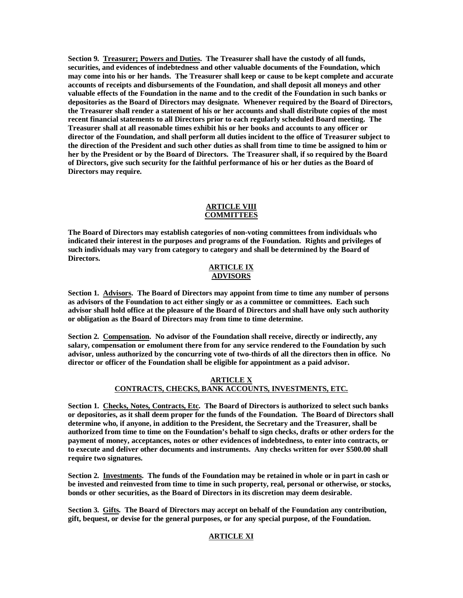**Section 9. Treasurer; Powers and Duties. The Treasurer shall have the custody of all funds, securities, and evidences of indebtedness and other valuable documents of the Foundation, which may come into his or her hands. The Treasurer shall keep or cause to be kept complete and accurate accounts of receipts and disbursements of the Foundation, and shall deposit all moneys and other valuable effects of the Foundation in the name and to the credit of the Foundation in such banks or depositories as the Board of Directors may designate. Whenever required by the Board of Directors, the Treasurer shall render a statement of his or her accounts and shall distribute copies of the most recent financial statements to all Directors prior to each regularly scheduled Board meeting. The Treasurer shall at all reasonable times exhibit his or her books and accounts to any officer or director of the Foundation, and shall perform all duties incident to the office of Treasurer subject to the direction of the President and such other duties as shall from time to time be assigned to him or her by the President or by the Board of Directors. The Treasurer shall, if so required by the Board of Directors, give such security for the faithful performance of his or her duties as the Board of Directors may require.** 

### **ARTICLE VIII COMMITTEES**

**The Board of Directors may establish categories of non-voting committees from individuals who indicated their interest in the purposes and programs of the Foundation. Rights and privileges of such individuals may vary from category to category and shall be determined by the Board of Directors.** 

### **ARTICLE IX ADVISORS**

**Section 1. Advisors. The Board of Directors may appoint from time to time any number of persons as advisors of the Foundation to act either singly or as a committee or committees. Each such advisor shall hold office at the pleasure of the Board of Directors and shall have only such authority or obligation as the Board of Directors may from time to time determine.** 

**Section 2. Compensation. No advisor of the Foundation shall receive, directly or indirectly, any salary, compensation or emolument there from for any service rendered to the Foundation by such advisor, unless authorized by the concurring vote of two-thirds of all the directors then in office. No director or officer of the Foundation shall be eligible for appointment as a paid advisor.** 

## **ARTICLE X CONTRACTS, CHECKS, BANK ACCOUNTS, INVESTMENTS, ETC.**

**Section 1. Checks, Notes, Contracts, Etc. The Board of Directors is authorized to select such banks or depositories, as it shall deem proper for the funds of the Foundation. The Board of Directors shall determine who, if anyone, in addition to the President, the Secretary and the Treasurer, shall be authorized from time to time on the Foundation's behalf to sign checks, drafts or other orders for the payment of money, acceptances, notes or other evidences of indebtedness, to enter into contracts, or to execute and deliver other documents and instruments. Any checks written for over \$500.00 shall require two signatures.** 

**Section 2. Investments. The funds of the Foundation may be retained in whole or in part in cash or be invested and reinvested from time to time in such property, real, personal or otherwise, or stocks, bonds or other securities, as the Board of Directors in its discretion may deem desirable.** 

**Section 3. Gifts. The Board of Directors may accept on behalf of the Foundation any contribution, gift, bequest, or devise for the general purposes, or for any special purpose, of the Foundation.** 

# **ARTICLE XI**